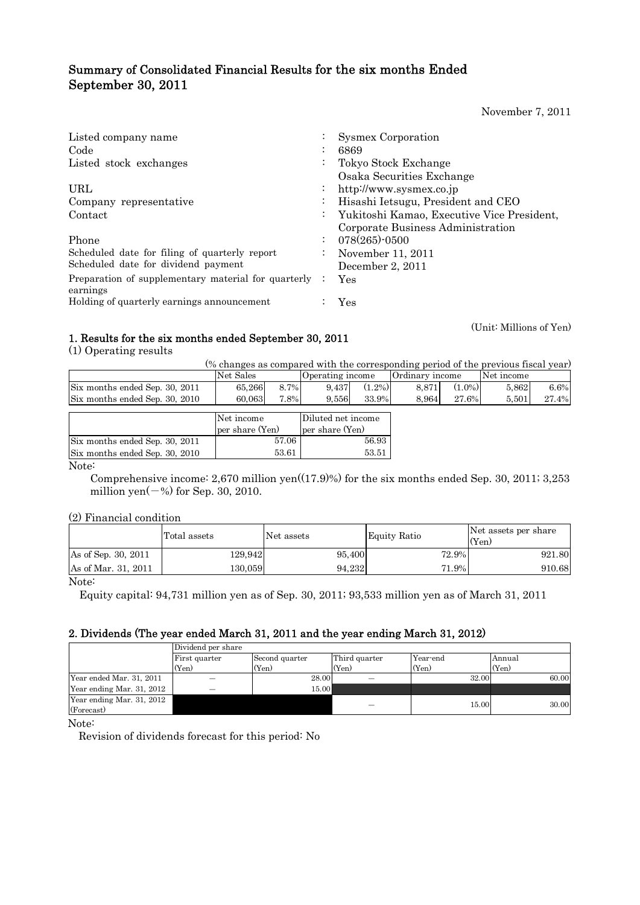# Summary of Consolidated Financial Results for the six months Ended September 30, 2011

November 7, 2011

| Listed company name                                 |           | <b>Sysmex Corporation</b>                  |
|-----------------------------------------------------|-----------|--------------------------------------------|
| Code                                                |           | 6869                                       |
| Listed stock exchanges                              |           | Tokyo Stock Exchange                       |
|                                                     |           | Osaka Securities Exchange                  |
| URL                                                 | $\bullet$ | http://www.sysmex.co.jp                    |
| Company representative                              | ٠         | Hisashi Ietsugu, President and CEO         |
| Contact                                             | $\bullet$ | Yukitoshi Kamao, Executive Vice President, |
|                                                     |           | Corporate Business Administration          |
| Phone                                               | $\cdot$   | 078(265)-0500                              |
| Scheduled date for filing of quarterly report       | $\bullet$ | November 11, 2011                          |
| Scheduled date for dividend payment                 |           | December 2, 2011                           |
| Preparation of supplementary material for quarterly |           | Yes                                        |
| earnings                                            |           |                                            |
| Holding of quarterly earnings announcement          |           | Yes                                        |

(Unit: Millions of Yen)

# 1. Results for the six months ended September 30, 2011

(1) Operating results

| (% changes as compared with the corresponding period of the previous fiscal year) |  |  |  |
|-----------------------------------------------------------------------------------|--|--|--|

|                                                        | Net Sales       |                 | Operating income   |                         | Ordinary income |          | Net income |       |
|--------------------------------------------------------|-----------------|-----------------|--------------------|-------------------------|-----------------|----------|------------|-------|
| Six months ended Sep. 30, 2011                         | 65,266          | 8.7%            | 9.437              | $(1.2\%)$               | 8.871           | $1.0\%)$ | 5.862      | 6.6%  |
| Six months ended Sep. 30, 2010                         | 60.063          | 7.8%            | 9.556              | 33.9%                   | 8.964           | 27.6%    | 5.501      | 27.4% |
|                                                        |                 |                 |                    |                         |                 |          |            |       |
|                                                        | Net income      |                 | Diluted net income |                         |                 |          |            |       |
|                                                        | per share (Yen) | per share (Yen) |                    |                         |                 |          |            |       |
| $\sim$<br>$\sim$<br>$\sim$ $\sim$ $\sim$ $\sim$ $\sim$ |                 | $F = \Omega$    |                    | $\overline{z}$ $\alpha$ |                 |          |            |       |

|                                | per share (Yen) | per share (Yen) |
|--------------------------------|-----------------|-----------------|
| Six months ended Sep. 30, 2011 | 57.06           | 56.93           |
| Six months ended Sep. 30, 2010 | 53.61           | 53.51           |
|                                |                 |                 |

Note:

 Comprehensive income: 2,670 million yen((17.9)%) for the six months ended Sep. 30, 2011; 3,253 million yen $(-%)$  for Sep. 30, 2010.

## (2) Financial condition

|                     | Total assets | Net assets | Equity Ratio | Net assets per share<br>(Yen) |
|---------------------|--------------|------------|--------------|-------------------------------|
| As of Sep. 30, 2011 | 129.942      | 95,400     | 72.9%        | 921.80                        |
| As of Mar. 31, 2011 | 130.059      | 94.232     | 71.9%        | 910.68                        |

Note:

Equity capital: 94,731 million yen as of Sep. 30, 2011; 93,533 million yen as of March 31, 2011

## 2. Dividends (The year ended March 31, 2011 and the year ending March 31, 2012)

|                           | Dividend per share |                |               |          |        |  |  |  |
|---------------------------|--------------------|----------------|---------------|----------|--------|--|--|--|
|                           | First quarter      | Second quarter | Third quarter | Year-end | Annual |  |  |  |
|                           | (Yen)              | (Yen)          | (Yen)         | (Yen)    | (Yen)  |  |  |  |
| Year ended Mar. 31, 2011  |                    | 28.00          |               | 32.00    | 60.00  |  |  |  |
| Year ending Mar. 31, 2012 |                    | 15.00          |               |          |        |  |  |  |
| Year ending Mar. 31, 2012 |                    |                |               | 15.00    | 30.00  |  |  |  |
| (Forecast)                |                    |                |               |          |        |  |  |  |

Note:

Revision of dividends forecast for this period: No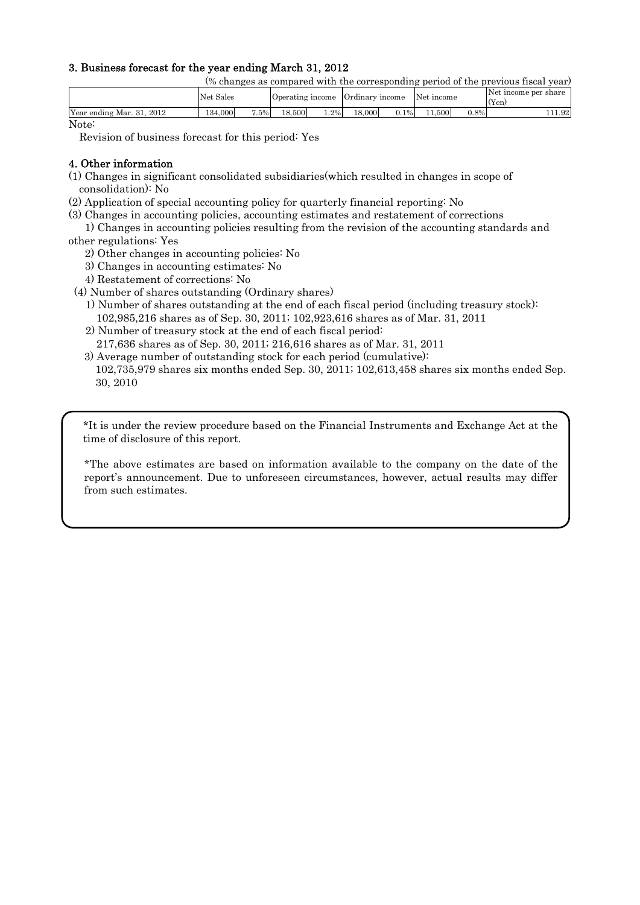## 3. Business forecast for the year ending March 31, 2012

(% changes as compared with the corresponding period of the previous fiscal year)

|                                             |        | Uperating income |         | Urdınary | income | I N et<br>income |         | (Yen) |
|---------------------------------------------|--------|------------------|---------|----------|--------|------------------|---------|-------|
| Year ending Mar. 31.<br>.000<br>2012<br>134 | $.5\%$ | 18.500           | 2%<br>. | 18,000   | $1\%$  | 500              | $J.8\%$ | 11.92 |

Note:

Revision of business forecast for this period: Yes

## 4. Other information

- (1) Changes in significant consolidated subsidiaries(which resulted in changes in scope of consolidation): No
- (2) Application of special accounting policy for quarterly financial reporting: No
- (3) Changes in accounting policies, accounting estimates and restatement of corrections
- 1) Changes in accounting policies resulting from the revision of the accounting standards and other regulations: Yes
	- 2) Other changes in accounting policies: No
	- 3) Changes in accounting estimates: No
	- 4) Restatement of corrections: No
- (4) Number of shares outstanding (Ordinary shares)
	- 1) Number of shares outstanding at the end of each fiscal period (including treasury stock): 102,985,216 shares as of Sep. 30, 2011; 102,923,616 shares as of Mar. 31, 2011
	- 2) Number of treasury stock at the end of each fiscal period:
		- 217,636 shares as of Sep. 30, 2011; 216,616 shares as of Mar. 31, 2011
	- 3) Average number of outstanding stock for each period (cumulative):
	- 102,735,979 shares six months ended Sep. 30, 2011; 102,613,458 shares six months ended Sep. 30, 2010

\*It is under the review procedure based on the Financial Instruments and Exchange Act at the time of disclosure of this report.

\*The above estimates are based on information available to the company on the date of the report's announcement. Due to unforeseen circumstances, however, actual results may differ from such estimates.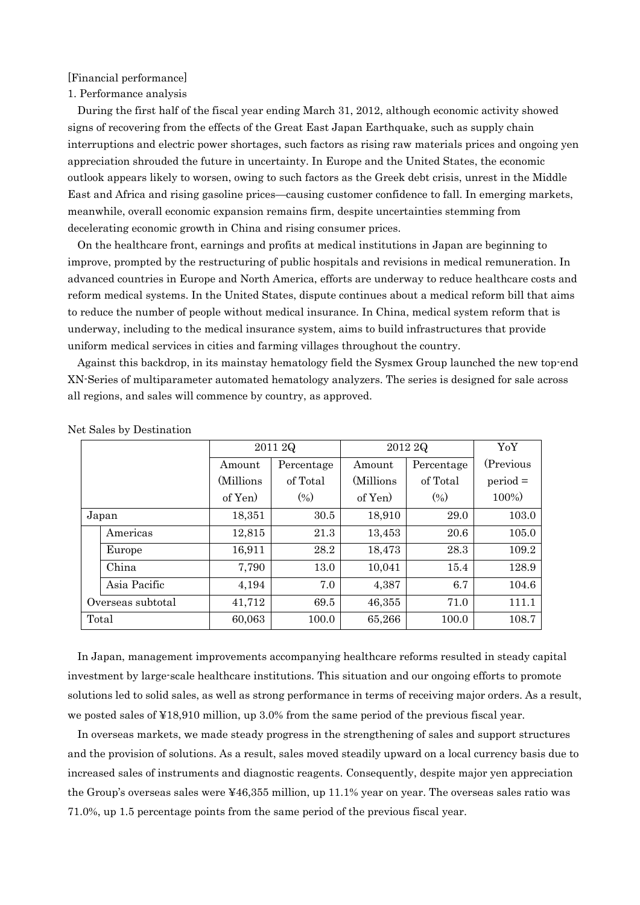[Financial performance]

1. Performance analysis

During the first half of the fiscal year ending March 31, 2012, although economic activity showed signs of recovering from the effects of the Great East Japan Earthquake, such as supply chain interruptions and electric power shortages, such factors as rising raw materials prices and ongoing yen appreciation shrouded the future in uncertainty. In Europe and the United States, the economic outlook appears likely to worsen, owing to such factors as the Greek debt crisis, unrest in the Middle East and Africa and rising gasoline prices—causing customer confidence to fall. In emerging markets, meanwhile, overall economic expansion remains firm, despite uncertainties stemming from decelerating economic growth in China and rising consumer prices.

On the healthcare front, earnings and profits at medical institutions in Japan are beginning to improve, prompted by the restructuring of public hospitals and revisions in medical remuneration. In advanced countries in Europe and North America, efforts are underway to reduce healthcare costs and reform medical systems. In the United States, dispute continues about a medical reform bill that aims to reduce the number of people without medical insurance. In China, medical system reform that is underway, including to the medical insurance system, aims to build infrastructures that provide uniform medical services in cities and farming villages throughout the country.

Against this backdrop, in its mainstay hematology field the Sysmex Group launched the new top-end XN-Series of multiparameter automated hematology analyzers. The series is designed for sale across all regions, and sales will commence by country, as approved.

|  |                   |            | 2011 2Q    |            | 2012 2Q    |            |  |
|--|-------------------|------------|------------|------------|------------|------------|--|
|  |                   | Amount     | Percentage | Amount     | Percentage | (Previous) |  |
|  |                   | (Millions) | of Total   | (Millions) | of Total   | $period =$ |  |
|  |                   | of Yen)    | (0/0)      | of Yen     | (0/0)      | 100%)      |  |
|  | Japan             | 18,351     | 30.5       | 18,910     | 29.0       | 103.0      |  |
|  | Americas          | 12,815     | 21.3       | 13,453     | 20.6       | 105.0      |  |
|  | Europe            | 16,911     | 28.2       | 18,473     | 28.3       | 109.2      |  |
|  | China             | 7,790      | 13.0       | 10,041     | 15.4       | 128.9      |  |
|  | Asia Pacific      | 4,194      | 7.0        | 4,387      | 6.7        | 104.6      |  |
|  | Overseas subtotal | 41,712     | 69.5       | 46,355     | 71.0       | 111.1      |  |
|  | Total             | 60,063     | 100.0      | 65,266     | 100.0      | 108.7      |  |

Net Sales by Destination

In Japan, management improvements accompanying healthcare reforms resulted in steady capital investment by large-scale healthcare institutions. This situation and our ongoing efforts to promote solutions led to solid sales, as well as strong performance in terms of receiving major orders. As a result, we posted sales of ¥18,910 million, up 3.0% from the same period of the previous fiscal year.

In overseas markets, we made steady progress in the strengthening of sales and support structures and the provision of solutions. As a result, sales moved steadily upward on a local currency basis due to increased sales of instruments and diagnostic reagents. Consequently, despite major yen appreciation the Group's overseas sales were ¥46,355 million, up 11.1% year on year. The overseas sales ratio was 71.0%, up 1.5 percentage points from the same period of the previous fiscal year.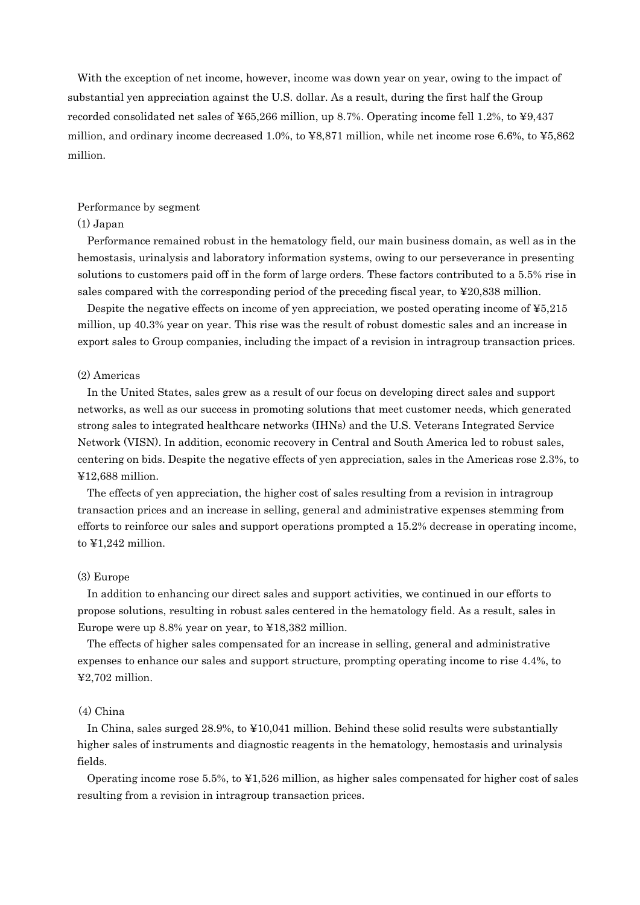With the exception of net income, however, income was down year on year, owing to the impact of substantial yen appreciation against the U.S. dollar. As a result, during the first half the Group recorded consolidated net sales of ¥65,266 million, up 8.7%. Operating income fell 1.2%, to ¥9,437 million, and ordinary income decreased 1.0%, to  $48,871$  million, while net income rose 6.6%, to  $45,862$ million.

#### Performance by segment

#### (1) Japan

Performance remained robust in the hematology field, our main business domain, as well as in the hemostasis, urinalysis and laboratory information systems, owing to our perseverance in presenting solutions to customers paid off in the form of large orders. These factors contributed to a 5.5% rise in sales compared with the corresponding period of the preceding fiscal year, to ¥20,838 million.

Despite the negative effects on income of yen appreciation, we posted operating income of ¥5,215 million, up 40.3% year on year. This rise was the result of robust domestic sales and an increase in export sales to Group companies, including the impact of a revision in intragroup transaction prices.

### (2) Americas

In the United States, sales grew as a result of our focus on developing direct sales and support networks, as well as our success in promoting solutions that meet customer needs, which generated strong sales to integrated healthcare networks (IHNs) and the U.S. Veterans Integrated Service Network (VISN). In addition, economic recovery in Central and South America led to robust sales, centering on bids. Despite the negative effects of yen appreciation, sales in the Americas rose 2.3%, to ¥12,688 million.

The effects of yen appreciation, the higher cost of sales resulting from a revision in intragroup transaction prices and an increase in selling, general and administrative expenses stemming from efforts to reinforce our sales and support operations prompted a 15.2% decrease in operating income, to ¥1,242 million.

#### (3) Europe

In addition to enhancing our direct sales and support activities, we continued in our efforts to propose solutions, resulting in robust sales centered in the hematology field. As a result, sales in Europe were up 8.8% year on year, to ¥18,382 million.

The effects of higher sales compensated for an increase in selling, general and administrative expenses to enhance our sales and support structure, prompting operating income to rise 4.4%, to ¥2,702 million.

#### (4) China

In China, sales surged 28.9%, to ¥10,041 million. Behind these solid results were substantially higher sales of instruments and diagnostic reagents in the hematology, hemostasis and urinalysis fields.

Operating income rose 5.5%, to ¥1,526 million, as higher sales compensated for higher cost of sales resulting from a revision in intragroup transaction prices.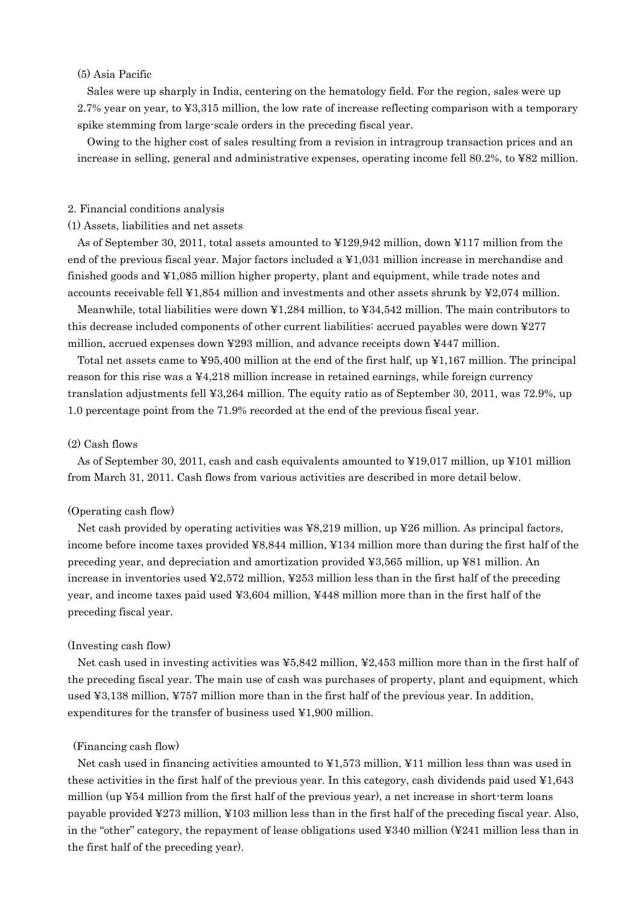#### (5) Asia Pacific

Sales were up sharply in India, centering on the hematology field. For the region, sales were up 2.7% year on year, to ¥3,315 million, the low rate of increase reflecting comparison with a temporary spike stemming from large-scale orders in the preceding fiscal year.

Owing to the higher cost of sales resulting from a revision in intragroup transaction prices and an increase in selling, general and administrative expenses, operating income fell 80.2%, to ¥82 million.

#### 2. Financial conditions analysis

#### (1) Assets, liabilities and net assets

As of September 30, 2011, total assets amounted to ¥129,942 million, down ¥117 million from the end of the previous fiscal year. Major factors included a ¥1,031 million increase in merchandise and finished goods and ¥1,085 million higher property, plant and equipment, while trade notes and accounts receivable fell ¥1,854 million and investments and other assets shrunk by ¥2,074 million.

Meanwhile, total liabilities were down ¥1,284 million, to ¥34,542 million. The main contributors to this decrease included components of other current liabilities: accrued payables were down ¥277 million, accrued expenses down ¥293 million, and advance receipts down ¥447 million.

Total net assets came to ¥95,400 million at the end of the first half, up ¥1,167 million. The principal reason for this rise was a  $\frac{1}{4}4.218$  million increase in retained earnings, while foreign currency translation adjustments fell ¥3,264 million. The equity ratio as of September 30, 2011, was 72.9%, up 1.0 percentage point from the 71.9% recorded at the end of the previous fiscal year.

## (2) Cash flows

As of September 30, 2011, cash and cash equivalents amounted to ¥19,017 million, up ¥101 million from March 31, 2011. Cash flows from various activities are described in more detail below.

#### (Operating cash flow)

Net cash provided by operating activities was ¥8,219 million, up ¥26 million. As principal factors, income before income taxes provided ¥8,844 million, ¥134 million more than during the first half of the preceding year, and depreciation and amortization provided ¥3,565 million, up ¥81 million. An increase in inventories used  $\frac{42,572 \text{ million}}{200}$  million less than in the first half of the preceding year, and income taxes paid used ¥3,604 million, ¥448 million more than in the first half of the preceding fiscal year.

#### (Investing cash flow)

Net cash used in investing activities was ¥5,842 million, ¥2,453 million more than in the first half of the preceding fiscal year. The main use of cash was purchases of property, plant and equipment, which used ¥3,138 million, ¥757 million more than in the first half of the previous year. In addition, expenditures for the transfer of business used ¥1,900 million.

#### (Financing cash flow)

Net cash used in financing activities amounted to  $\yen 1,573$  million,  $\yen 11$  million less than was used in these activities in the first half of the previous year. In this category, cash dividends paid used ¥1,643 million (up  $\angle 54$  million from the first half of the previous year), a net increase in short-term loans payable provided ¥273 million, ¥103 million less than in the first half of the preceding fiscal year. Also, in the "other" category, the repayment of lease obligations used  $\frac{4240}{100}$  million less than in the first half of the preceding year).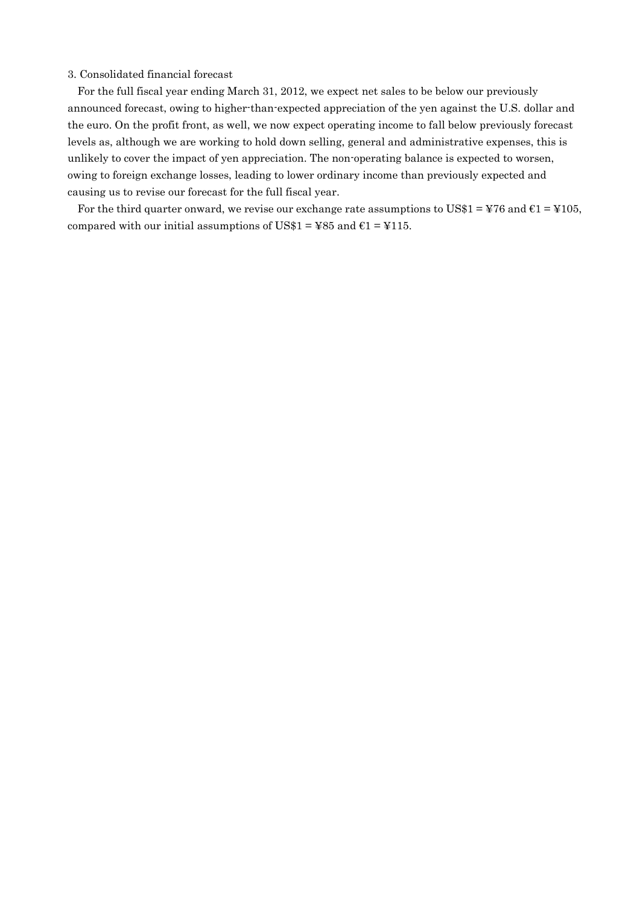#### 3. Consolidated financial forecast

For the full fiscal year ending March 31, 2012, we expect net sales to be below our previously announced forecast, owing to higher-than-expected appreciation of the yen against the U.S. dollar and the euro. On the profit front, as well, we now expect operating income to fall below previously forecast levels as, although we are working to hold down selling, general and administrative expenses, this is unlikely to cover the impact of yen appreciation. The non-operating balance is expected to worsen, owing to foreign exchange losses, leading to lower ordinary income than previously expected and causing us to revise our forecast for the full fiscal year.

For the third quarter onward, we revise our exchange rate assumptions to US\$1 = ¥76 and  $\epsilon$ 1 = ¥105, compared with our initial assumptions of US\$1 =  $485$  and  $61 = 1115$ .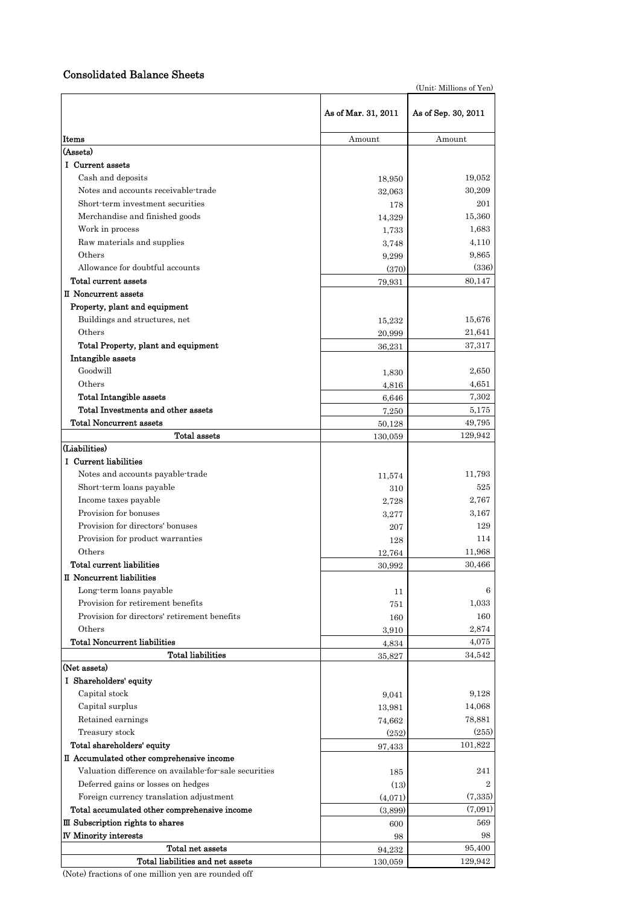#### Consolidated Balance Sheets

**Items** Amount Amount Amount Amount Amount Amount Amount Amount Amount Amount Amount Amount Amount Amount Amount Amount Amount Amount Amount Amount Amount Amount Amount Amount Amount Amount Amount Amount Amount Amount Amou (Assets) Ⅰ Current assets Cash and deposits 18,950 19,052 Notes and accounts receivable-trade 32,063 30,209 Short-term investment securities 178 201 Merchandise and finished goods 14,329 15,360 Work in process  $1,733$   $1,683$ Raw materials and supplies and supplies and supplies and supplies and supplies and supplies and supplies and supplies and supplies and supplies and supplies and supplies and supplies and supplies and supplies and supplies Others  $9,299$   $9,865$ Allowance for doubtful accounts (370) (336) Total current assets  $79,931$   $80,147$ Ⅱ Noncurrent assets Property, plant and equipment Buildings and structures, net 15,232 15,676 Others 20,999 21,641 Total Property, plant and equipment 36,231 37,317 Intangible assets Goodwill 2,650 2,650 2,650 2,650 2,650 2,650 2,650 2,650 2,650 2,650 2,650 2,650 2,650 2,650 2,650 2,650 2,650 Others 4,816 4,816 4,851 Total Intangible assets  $6,646$   $7,302$ Total Investments and other assets 6,175 Total Noncurrent assets 49,795 **Total assets** 130,059 129,942 (Liabilities) Ⅰ Current liabilities Notes and accounts payable-trade 11,574 11,793 Short-term loans payable 525 Income taxes payable  $2,767$ Provision for bonuses 3,277 3,167 Provision for directors' bonuses 207 129 Provision for product warranties 128 114 Others 12,764 11,968 Total current liabilities 30,992 30,466 Ⅱ Noncurrent liabilities Long-term loans payable 6 and 11 6 minutes of  $\sim$  11 6 minutes of  $\sim$  11 6 minutes of  $\sim$  11 6 minutes of  $\sim$  11 6 minutes of  $\sim$  11  $\sim$  6 minutes of  $\sim$  11  $\sim$  6 minutes of  $\sim$  11  $\sim$  6 minutes of  $\sim$  11  $\sim$  6 Provision for retirement benefits 751 1,033 Provision for directors' retirement benefits 160 160 Others  $3,910$   $2,874$ Total Noncurrent liabilities  $4.834$   $4.075$ Total liabilities  $35,827$   $34,542$ (Net assets) Ⅰ Shareholders' equity Capital stock 9,041 9,128 Capital surplus 14,068 Retained earnings 78,881 Treasury stock  $(252)$   $(255)$ Total shareholders' equity  $97,433$  101,822 Ⅱ Accumulated other comprehensive income Valuation difference on available-for-sale securities 185 185 241 Deferred gains or losses on hedges (13) 2 Foreign currency translation adjustment  $(4,071)$   $(7,335)$ Total accumulated other comprehensive income  $(3,899)$  (7,091)  $\Box$  Subscription rights to shares 600  $\Box$  569 Ⅳ Minority interests 98 98 Total net assets  $94,232$   $95,400$ Total liabilities and net assets 130,059 129,942 As of Mar. 31, 2011 As of Sep. 30, 2011

(Unit: Millions of Yen)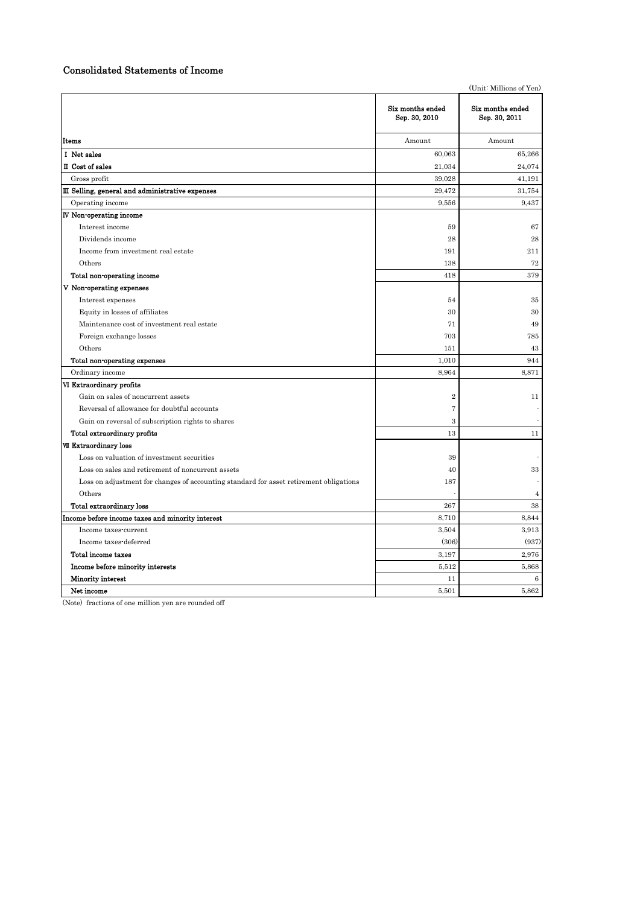## Consolidated Statements of Income

|                                                                                        |                                   | (Unit: Millions of Yen)           |
|----------------------------------------------------------------------------------------|-----------------------------------|-----------------------------------|
|                                                                                        | Six months ended<br>Sep. 30, 2010 | Six months ended<br>Sep. 30, 2011 |
| Items                                                                                  | Amount                            | Amount                            |
| I Net sales                                                                            | 60,063                            | 65,266                            |
| II Cost of sales                                                                       | 21,034                            | 24,074                            |
| Gross profit                                                                           | 39,028                            | 41,191                            |
| III Selling, general and administrative expenses                                       | 29,472                            | 31,754                            |
| Operating income                                                                       | 9,556                             | 9,437                             |
| <b>IV Non-operating income</b>                                                         |                                   |                                   |
| Interest income                                                                        | 59                                | 67                                |
| Dividends income                                                                       | 28                                | 28                                |
| Income from investment real estate                                                     | 191                               | 211                               |
| Others                                                                                 | 138                               | 72                                |
| Total non-operating income                                                             | 418                               | 379                               |
| V Non-operating expenses                                                               |                                   |                                   |
| Interest expenses                                                                      | 54                                | 35                                |
| Equity in losses of affiliates                                                         | 30                                | 30                                |
| Maintenance cost of investment real estate                                             | 71                                | 49                                |
| Foreign exchange losses                                                                | 703                               | 785                               |
| Others                                                                                 | 151                               | 43                                |
| Total non-operating expenses                                                           | 1,010                             | 944                               |
| Ordinary income                                                                        | 8.964                             | 8.871                             |
| VI Extraordinary profits                                                               |                                   |                                   |
| Gain on sales of noncurrent assets                                                     | $\overline{2}$                    | 11                                |
| Reversal of allowance for doubtful accounts                                            | $\overline{7}$                    |                                   |
| Gain on reversal of subscription rights to shares                                      | $\,3$                             |                                   |
| Total extraordinary profits                                                            | 13                                | 11                                |
| <b>VII Extraordinary loss</b>                                                          |                                   |                                   |
| Loss on valuation of investment securities                                             | 39                                |                                   |
| Loss on sales and retirement of noncurrent assets                                      | 40                                | 33                                |
| Loss on adjustment for changes of accounting standard for asset retirement obligations | 187                               |                                   |
| Others                                                                                 |                                   | $\overline{4}$                    |
| Total extraordinary loss                                                               | 267                               | 38                                |
| Income before income taxes and minority interest                                       | 8,710                             | 8,844                             |
| Income taxes-current                                                                   | 3,504                             | 3,913                             |
| Income taxes-deferred                                                                  | (306)                             | (937)                             |
| Total income taxes                                                                     | 3,197                             | 2,976                             |
| Income before minority interests                                                       | 5,512                             | 5,868                             |
| <b>Minority interest</b>                                                               | 11                                | 6                                 |
| Net income                                                                             | 5,501                             | 5,862                             |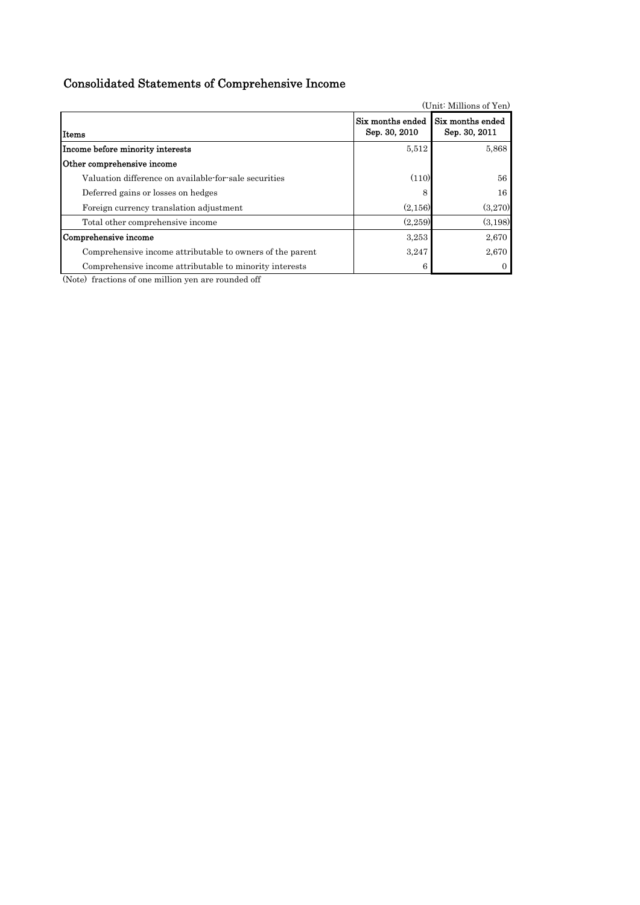# Consolidated Statements of Comprehensive Income

| (Unit: Millions of Yen)                                   |                                   |                                   |  |  |  |  |  |
|-----------------------------------------------------------|-----------------------------------|-----------------------------------|--|--|--|--|--|
| Items                                                     | Six months ended<br>Sep. 30, 2010 | Six months ended<br>Sep. 30, 2011 |  |  |  |  |  |
| Income before minority interests                          | 5.512                             | 5,868                             |  |  |  |  |  |
| Other comprehensive income                                |                                   |                                   |  |  |  |  |  |
| Valuation difference on available-for-sale securities     | (110)                             | 56                                |  |  |  |  |  |
| Deferred gains or losses on hedges                        | 8                                 | 16                                |  |  |  |  |  |
| Foreign currency translation adjustment                   | (2,156)                           | (3,270)                           |  |  |  |  |  |
| Total other comprehensive income                          | (2,259)                           | (3,198)                           |  |  |  |  |  |
| Comprehensive income                                      | 3,253                             | 2,670                             |  |  |  |  |  |
| Comprehensive income attributable to owners of the parent | 3.247                             | 2,670                             |  |  |  |  |  |
| Comprehensive income attributable to minority interests   | 6                                 |                                   |  |  |  |  |  |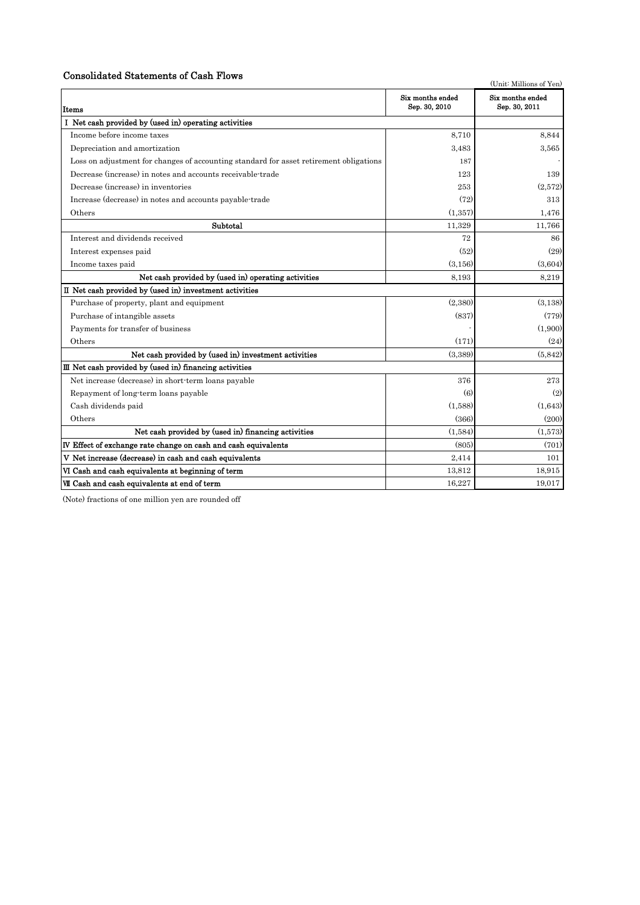## Consolidated Statements of Cash Flows

| Consonuated Statements of Cash Flows                                                   |                                   | (Unit: Millions of Yen)           |
|----------------------------------------------------------------------------------------|-----------------------------------|-----------------------------------|
| Items                                                                                  | Six months ended<br>Sep. 30, 2010 | Six months ended<br>Sep. 30, 2011 |
| I Net cash provided by (used in) operating activities                                  |                                   |                                   |
| Income before income taxes                                                             | 8,710                             | 8,844                             |
| Depreciation and amortization                                                          | 3,483                             | 3,565                             |
| Loss on adjustment for changes of accounting standard for asset retirement obligations | 187                               |                                   |
| Decrease (increase) in notes and accounts receivable-trade                             | 123                               | 139                               |
| Decrease (increase) in inventories                                                     | 253                               | (2,572)                           |
| Increase (decrease) in notes and accounts payable-trade                                | (72)                              | 313                               |
| Others                                                                                 | (1.357)                           | 1.476                             |
| Subtotal                                                                               | 11,329                            | 11,766                            |
| Interest and dividends received                                                        | 72                                | 86                                |
| Interest expenses paid                                                                 | (52)                              | (29)                              |
| Income taxes paid                                                                      | (3, 156)                          | (3,604)                           |
| Net cash provided by (used in) operating activities                                    | 8,193                             | 8,219                             |
| II Net cash provided by (used in) investment activities                                |                                   |                                   |
| Purchase of property, plant and equipment                                              | (2,380)                           | (3, 138)                          |
| Purchase of intangible assets                                                          | (837)                             | (779)                             |
| Payments for transfer of business                                                      |                                   | (1,900)                           |
| Others                                                                                 | (171)                             | (24)                              |
| Net cash provided by (used in) investment activities                                   | (3,389)                           | (5,842)                           |
| $III$ Net cash provided by (used in) financing activities                              |                                   |                                   |
| Net increase (decrease) in short-term loans payable                                    | 376                               | 273                               |
| Repayment of long-term loans payable                                                   | (6)                               | (2)                               |
| Cash dividends paid                                                                    | (1,588)                           | (1,643)                           |
| Others                                                                                 | (366)                             | (200)                             |
| Net cash provided by (used in) financing activities                                    | (1.584)                           | (1,573)                           |
| IV Effect of exchange rate change on cash and cash equivalents                         | (805)                             | (701)                             |
| V Net increase (decrease) in cash and cash equivalents                                 | 2,414                             | 101                               |
| VI Cash and cash equivalents at beginning of term                                      | 13,812                            | 18,915                            |
| VII Cash and cash equivalents at end of term                                           | 16,227                            | 19,017                            |